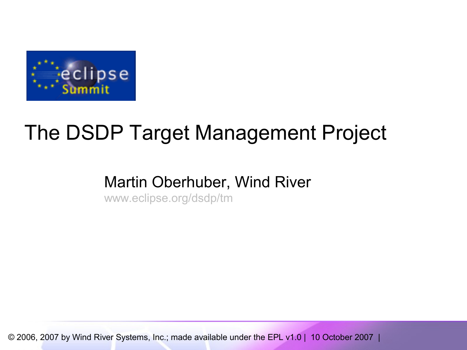

# The DSDP Target Management Project

#### Martin Oberhuber, Wind River

[www.eclipse.org/dsdp/tm](http://www.eclipse.org/dsdp/tm)

© 2006, 2007 by Wind River Systems, Inc.; made available under the EPL v1.0 | 10 October 2007 |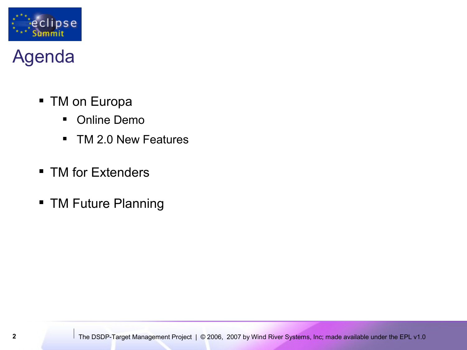

# Agenda

- **TM on Europa** 
	- Online Demo
	- **TM 2.0 New Features**
- **TM for Extenders**
- **TM Future Planning**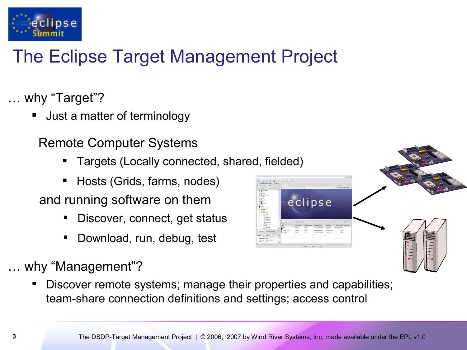

# The Eclipse Target Management Project

#### … why "Target"?

Just a matter of terminology

#### Remote Computer Systems

- Targets (Locally connected, shared, fielded)
- Hosts (Grids, farms, nodes)

and running software on them

- Discover, connect, get status
- Download, run, debug, test

#### … why "Management"?

 Discover remote systems; manage their properties and capabilities; team-share connection definitions and settings; access control



eclipse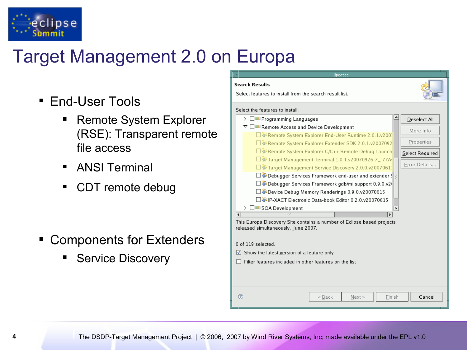

# Target Management 2.0 on Europa

- **End-User Tools** 
	- Remote System Explorer (RSE): Transparent remote file access
	- **ANSI Terminal**
	- CDT remote debug

- **Extenders Components for Extenders** 
	- Service Discovery

| Updates                                                                                                       |                  |  |  |
|---------------------------------------------------------------------------------------------------------------|------------------|--|--|
| <b>Search Results</b>                                                                                         |                  |  |  |
| Select features to install from the search result list.                                                       |                  |  |  |
| Select the features to install:                                                                               |                  |  |  |
| D.<br>⊿000 Programming Languages                                                                              | Deselect All     |  |  |
| $\triangledown$ $\Box$ 000 Remote Access and Device Development                                               | More Info        |  |  |
| □ BRemote System Explorer End-User Runtime 2.0.1.v200.                                                        |                  |  |  |
| □{D}Remote System Explorer Extender SDK 2.0.1.v2007092                                                        | Properties       |  |  |
| □昼Remote System Explorer C/C++ Remote Debug Launch                                                            | Select Required  |  |  |
| $\square$ $\blacksquare$ Target Management Terminal 1.0.1.v20070926-7_-77A\                                   |                  |  |  |
| □ + Target Management Service Discovery 2.0.0.v20070611                                                       | Error Details    |  |  |
| $\square$ $\blacksquare$ Debugger Services Framework end-user and extender $\mathbb{S}$                       |                  |  |  |
| □ Debugger Services Framework gdb/mi support 0.9.0.v2(                                                        |                  |  |  |
| $\square$ Device Debug Memory Renderings 0.9.0.v20070615                                                      |                  |  |  |
| $\Box$ D-XACT Electronic Data-book Editor 0.2.0.v20070615                                                     |                  |  |  |
| D IIII SOA Development                                                                                        |                  |  |  |
| ¢<br>$\bullet$                                                                                                |                  |  |  |
| This Europa Discovery Site contains a number of Eclipse based projects<br>released simultaneously, June 2007. |                  |  |  |
| 0 of 119 selected.                                                                                            |                  |  |  |
| $\blacktriangleright$ Show the latest version of a feature only                                               |                  |  |  |
| Filter features included in other features on the list                                                        |                  |  |  |
|                                                                                                               |                  |  |  |
| ?<br>< Back<br>Next                                                                                           | Cancel<br>Finish |  |  |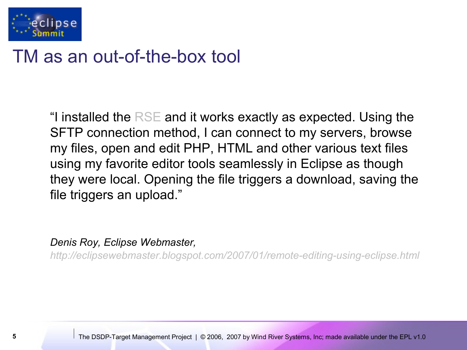

#### TM as an out-of-the-box tool

"I installed the  $RSE$  and it works exactly as expected. Using the SFTP connection method, I can connect to my servers, browse my files, open and edit PHP, HTML and other various text files using my favorite editor tools seamlessly in Eclipse as though they were local. Opening the file triggers a download, saving the file triggers an upload."

*Denis Roy, Eclipse Webmaster,*

*<http://eclipsewebmaster.blogspot.com/2007/01/remote-editing-using-eclipse.html>*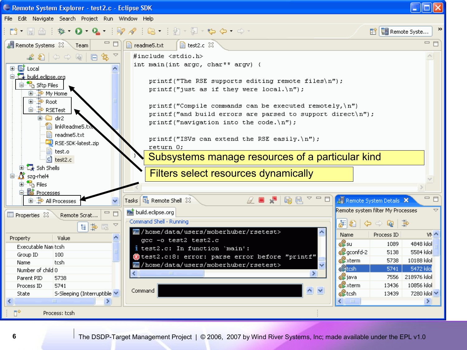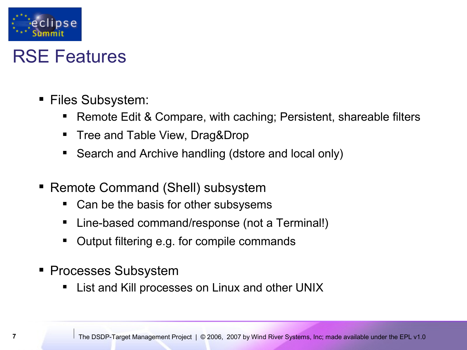

#### RSE Features

- Files Subsystem:
	- Remote Edit & Compare, with caching; Persistent, shareable filters
	- Tree and Table View, Drag&Drop
	- Search and Archive handling (dstore and local only)
- **Remote Command (Shell) subsystem** 
	- Can be the basis for other subsysems
	- Line-based command/response (not a Terminal!)
	- Output filtering e.g. for compile commands
- **Processes Subsystem** 
	- List and Kill processes on Linux and other UNIX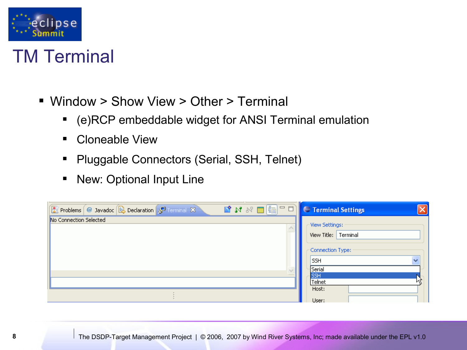

#### TM Terminal

- Window > Show View > Other > Terminal
	- (e)RCP embeddable widget for ANSI Terminal emulation
	- **-** Cloneable View
	- **Pluggable Connectors (Serial, SSH, Telnet)**
	- **New: Optional Input Line**

| ■ N N ■   = □   <del>= Terminal Settings</del><br>Ref Problems   @ Javadoc   @ Declaration   P Terminal X | $\times$                                                |
|-----------------------------------------------------------------------------------------------------------|---------------------------------------------------------|
| No Connection Selected                                                                                    | View Settings:<br>View Title: Terminal                  |
|                                                                                                           | Connection Type:<br>$\ddotmark$<br><b>SSH</b><br>Serial |
|                                                                                                           | <b>SSH</b><br>Telnet<br>Host:<br>User:                  |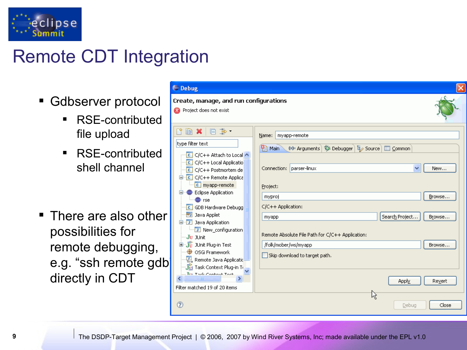

# Remote CDT Integration

- Gdbserver protocol
	- RSE-contributed file upload
	- RSE-contributed shell channel
- $\blacksquare$  There are also other possibilities for remote debugging, e.g. "ssh remote gdl directly in CDT

| $\ominus$ Debug                                                                                                                                                                                                                                                                                               |                                                                                                                                                                      |                            |
|---------------------------------------------------------------------------------------------------------------------------------------------------------------------------------------------------------------------------------------------------------------------------------------------------------------|----------------------------------------------------------------------------------------------------------------------------------------------------------------------|----------------------------|
| Create, manage, and run configurations<br>Project does not exist<br>$\mathbf{x}$                                                                                                                                                                                                                              |                                                                                                                                                                      |                            |
| 自× 日 学·<br>type filter text<br>$\begin{array}{ c c c }\n\hline\n\end{array}$ C/C++ Attach to Local $\begin{array}{ c c }\n\hline\n\end{array}$<br>C/C++ Local Applicatio<br>$C$ C/C++ Postmortem de<br><b>D</b> <sup>-</sup> C C/C++ Remote Applica<br>$\boxed{c}$ myapp-remote<br><b>Eclipse Application</b> | myapp-remote<br>Name:<br>(×)= Arguments   \$ Debugger   two Source   E Common<br><b>Part Main</b><br>Connection: parser-linux<br>v<br>Project:                       | New                        |
| <b>⊜</b> rse<br><b>C</b> GDB Hardware Debugg<br>Java Applet<br>眄<br><b>E</b> Java Application<br>Vew_configuration<br>Ju JUnit<br>中 Jy JUnit Plug-in Test<br>49<br>OSGi Framework                                                                                                                             | myproj<br>C/C++ Application:<br>Search Project<br>myapp<br>Remote Absolute File Path for C/C++ Application:<br>/folk/mober/ws/myapp<br>Skip download to target path. | Browse<br>Browse<br>Browse |
| Remote Java Applicatic<br>·j <mark>论</mark> Task Context Plug-in Tr <mark>e</mark><br>Tru Thek Contout Took<br>Filter matched 19 of 20 items<br>$\circledR$                                                                                                                                                   | Apply<br>区<br>Debug                                                                                                                                                  | Revert<br>Close            |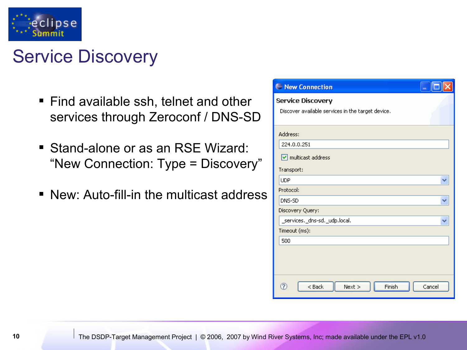

# Service Discovery

- **Find available ssh, telnet and other** services through Zeroconf / DNS-SD
- Stand-alone or as an RSE Wizard: "New Connection: Type = Discovery"
- New: Auto-fill-in the multicast address

| Rew Connection                                                                |  |  |
|-------------------------------------------------------------------------------|--|--|
| <b>Service Discovery</b><br>Discover available services in the target device. |  |  |
| Address:                                                                      |  |  |
| 224.0.0.251                                                                   |  |  |
| multicast address                                                             |  |  |
| Transport:                                                                    |  |  |
| <b>UDP</b>                                                                    |  |  |
| Protocol:                                                                     |  |  |
| DNS-SD                                                                        |  |  |
| Discovery Query:                                                              |  |  |
| _services._dns-sd._udp.local.                                                 |  |  |
| Timeout (ms):                                                                 |  |  |
| 500                                                                           |  |  |
|                                                                               |  |  |
| ີ?<br>Finish<br>$<$ Back<br>Next<br>Cancel                                    |  |  |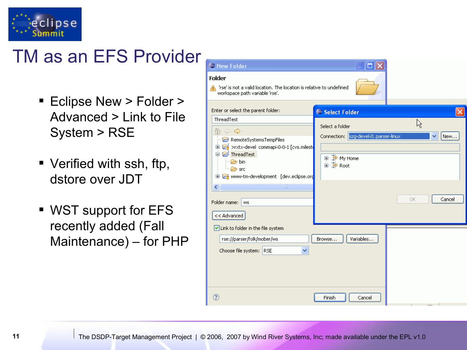

## TM as an EFS Provider

- **Eclipse New > Folder >** Advanced > Link to File System > RSE
- Verified with ssh, ftp, dstore over JDT
- WST support for EFS recently added (Fall Maintenance) – for PHP

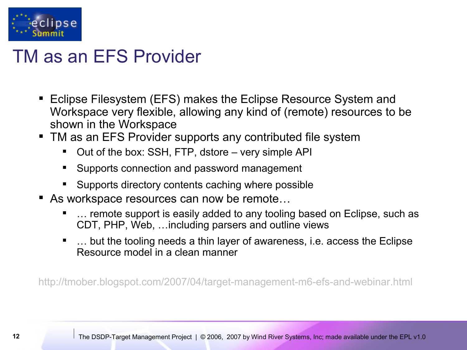

## TM as an EFS Provider

- Eclipse Filesystem (EFS) makes the Eclipse Resource System and Workspace very flexible, allowing any kind of (remote) resources to be shown in the Workspace
- **TM as an EFS Provider supports any contributed file system** 
	- Out of the box: SSH, FTP, dstore very simple API
	- **Supports connection and password management**
	- Supports directory contents caching where possible
- As workspace resources can now be remote...
	- … remote support is easily added to any tooling based on Eclipse, such as CDT, PHP, Web, …including parsers and outline views
	- … but the tooling needs a thin layer of awareness, i.e. access the Eclipse Resource model in a clean manner

<http://tmober.blogspot.com/2007/04/target-management-m6-efs-and-webinar.html>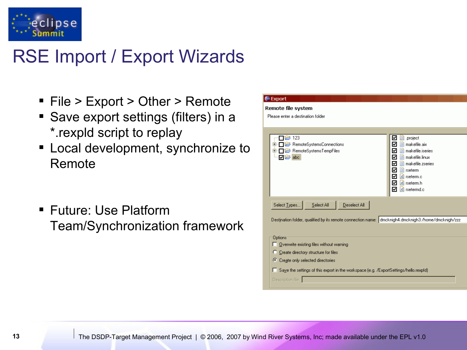

# RSE Import / Export Wizards

- File > Export > Other > Remote
- **Save export settings (filters) in a** \*.rexpld script to replay
- **EXEC** Local development, synchronize to Remote
- Future: Use Platform Team/Synchronization framework

| <b>∈Export</b>                                                                                      |              |                                                      |
|-----------------------------------------------------------------------------------------------------|--------------|------------------------------------------------------|
| Remote file system                                                                                  |              |                                                      |
| Please enter a destination folder                                                                   |              |                                                      |
|                                                                                                     |              |                                                      |
|                                                                                                     |              |                                                      |
| 123                                                                                                 |              | .project<br>☑<br>e                                   |
| RemoteSystemsConnections<br>$\boxplus$<br>$\ominus$ RemoteSystemsTempFiles<br>$\boxplus$            |              | e<br>makefile.aix<br>₹<br>makefile.iseries<br>⊽<br>自 |
| ☑ <del>じ</del> abc                                                                                  |              | $\equiv$ makefile. linux<br>₹                        |
|                                                                                                     |              | $\equiv$ makefile zseries<br>⊮                       |
|                                                                                                     |              | $\blacksquare$ rseterm<br>₹                          |
|                                                                                                     |              | <b>c</b> rseterm.c<br>⊻                              |
|                                                                                                     |              | <b>c</b> rseterm.h<br>⊻<br>₹<br><b>c</b> rsetermd.c  |
|                                                                                                     |              |                                                      |
| Select Types<br>Select All                                                                          | Deselect All |                                                      |
|                                                                                                     |              |                                                      |
| Destination folder, qualified by its remote connection name: dmcknigh4.dmcknigh3:/home/dmcknigh/zzz |              |                                                      |
|                                                                                                     |              |                                                      |
| <b>Options</b>                                                                                      |              |                                                      |
| Overwrite existing files without warning                                                            |              |                                                      |
| Create directory structure for files<br>o                                                           |              |                                                      |
| C Create only selected directories                                                                  |              |                                                      |
|                                                                                                     |              |                                                      |
| Saye the settings of this export in the workspace (e.g. /ExportSettings/hello.rexpfd)<br>ш          |              |                                                      |
| Description file:                                                                                   |              |                                                      |
|                                                                                                     |              |                                                      |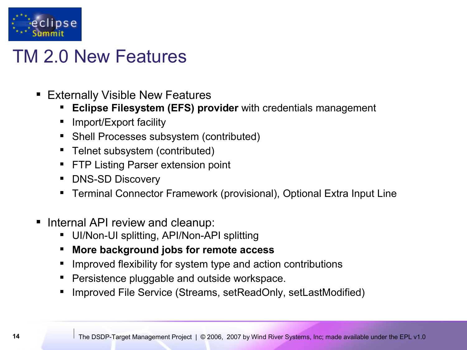

#### TM 2.0 New Features

- **Externally Visible New Features** 
	- **Eclipse Filesystem (EFS) provider** with credentials management
	- Import/Export facility
	- Shell Processes subsystem (contributed)
	- Telnet subsystem (contributed)
	- **FTP Listing Parser extension point**
	- DNS-SD Discovery
	- Terminal Connector Framework (provisional), Optional Extra Input Line
- Internal API review and cleanup:
	- UI/Non-UI splitting, API/Non-API splitting
	- **More background jobs for remote access**
	- Improved flexibility for system type and action contributions
	- Persistence pluggable and outside workspace.
	- Improved File Service (Streams, setReadOnly, setLastModified)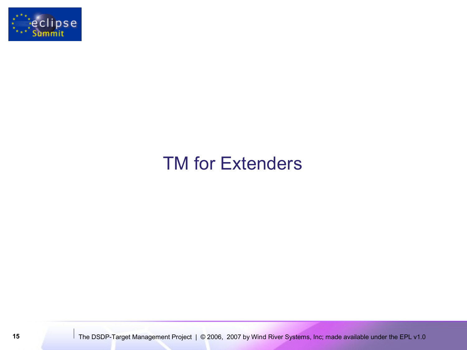

# TM for Extenders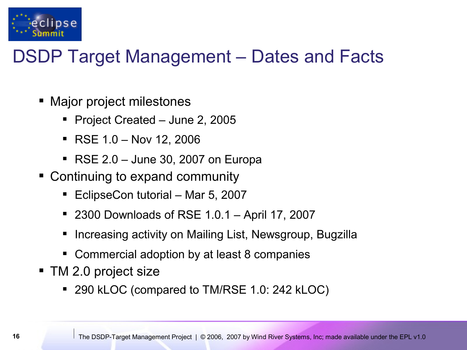

# DSDP Target Management – Dates and Facts

- Major project milestones
	- Project Created June 2, 2005
	- $\blacksquare$  RSE 1.0 Nov 12, 2006
	- $\blacksquare$  RSE 2.0 June 30, 2007 on Europa
- Continuing to expand community
	- EclipseCon tutorial Mar 5, 2007
	- 2300 Downloads of RSE 1.0.1 April 17, 2007
	- Increasing activity on Mailing List, Newsgroup, Bugzilla
	- Commercial adoption by at least 8 companies
- TM 2.0 project size
	- 290 kLOC (compared to TM/RSE 1.0: 242 kLOC)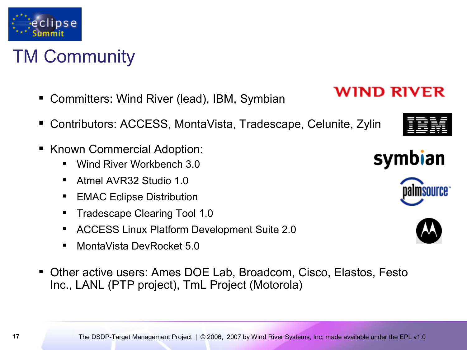TM Community

eclipse

- Committers: Wind River (lead), IBM, Symbian
- Contributors: ACCESS, MontaVista, Tradescape, Celunite, Zylin
- **Known Commercial Adoption:** 
	- Wind River Workbench 3.0
	- **Atmel AVR32 Studio 1.0**
	- EMAC Eclipse Distribution
	- Tradescape Clearing Tool 1.0
	- ACCESS Linux Platform Development Suite 2.0
	- MontaVista DevRocket 5.0
- Other active users: Ames DOE Lab, Broadcom, Cisco, Elastos, Festo Inc., LANL (PTP project), TmL Project (Motorola)





**WIND RIVER** 



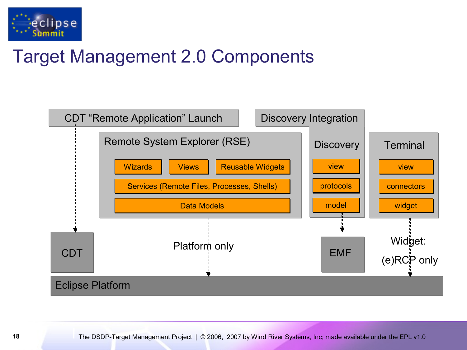

# Target Management 2.0 Components

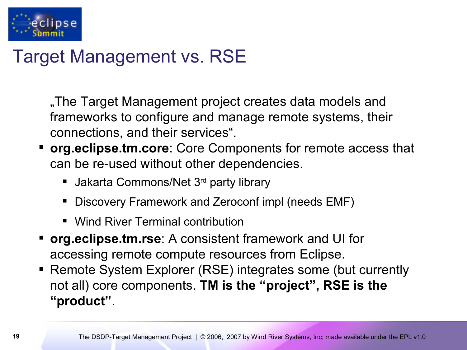

# Target Management vs. RSE

The Target Management project creates data models and frameworks to configure and manage remote systems, their connections, and their services".

- **org.eclipse.tm.core**: Core Components for remote access that can be re-used without other dependencies.
	- **Jakarta Commons/Net 3rd party library**
	- Discovery Framework and Zeroconf impl (needs EMF)
	- **Wind River Terminal contribution**
- **org.eclipse.tm.rse**: A consistent framework and UI for accessing remote compute resources from Eclipse.
- Remote System Explorer (RSE) integrates some (but currently not all) core components. **TM is the "project", RSE is the "product"**.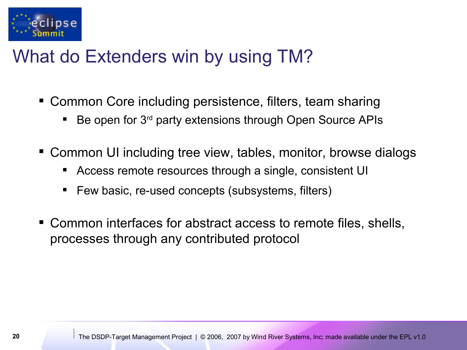

## What do Extenders win by using TM?

- Common Core including persistence, filters, team sharing
	- Be open for 3<sup>rd</sup> party extensions through Open Source APIs
- Common UI including tree view, tables, monitor, browse dialogs
	- Access remote resources through a single, consistent UI
	- Few basic, re-used concepts (subsystems, filters)
- Common interfaces for abstract access to remote files, shells, processes through any contributed protocol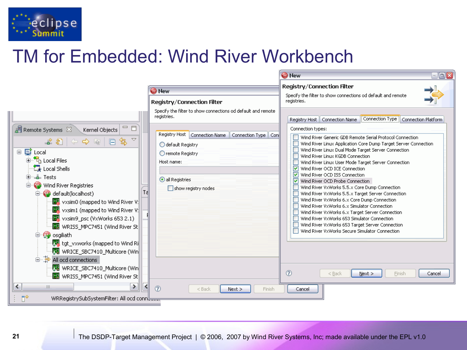

# TM for Embedded: Wind River Workbench

|                                                                                                                                                                                                                                                                                                                                                                                                                                                                                                                                                                                | <b>O</b> New<br><b>Registry/Connection Filter</b><br>Specify the filter to show connections od default and remote                                                       | <b>Registry/Connection Filter</b><br>Specify the filter to show connections od default and remote<br>registries.                                                                                                                                                                                                                                                                                                                                                                                                                                                                                                                                                                                                                                                                                                                                                                                              |
|--------------------------------------------------------------------------------------------------------------------------------------------------------------------------------------------------------------------------------------------------------------------------------------------------------------------------------------------------------------------------------------------------------------------------------------------------------------------------------------------------------------------------------------------------------------------------------|-------------------------------------------------------------------------------------------------------------------------------------------------------------------------|---------------------------------------------------------------------------------------------------------------------------------------------------------------------------------------------------------------------------------------------------------------------------------------------------------------------------------------------------------------------------------------------------------------------------------------------------------------------------------------------------------------------------------------------------------------------------------------------------------------------------------------------------------------------------------------------------------------------------------------------------------------------------------------------------------------------------------------------------------------------------------------------------------------|
| $\Box$<br>$\mathop{{\mathbb{E}}} \nolimits$ Remote Systems $\mathbb X^{\mathbb N}$<br>Kernel Objects<br>$\overline{\phantom{0}}$<br>★ 3 │ ⇔ ➾ ◎ │ □ \$<br>□ <i>§</i> Local<br>由 R <sub>D</sub> Local Files<br>$\mathbb{Z}$ Local Shells<br>—L⊨ Tests<br>Wind River Registries<br>Ta<br>default(localhost)<br>國 vxsim0 (mapped to Wind River V:<br>图 vxsim1 (mapped to Wind River V:<br>wxsim9_psc (VxWorks 653 2.1)<br>WRISS_MPC7451 (Wind River St<br><b>D</b> osgiliath<br>  Jag tgt_vxworks (mapped to Wind Ri<br>WRICE_SBC7410_Multicore (Win<br>草画<br>All ocd connections | registries.<br>Registry Host   Connection Name<br>Connection Type   Con<br>default Registry<br>O remote Registry<br>Host name:<br>all Registries<br>show registry nodes | Connection Type   Connection Platform<br>Registry Host   Connection Name<br>Connection types:<br>Wind River Generic GDB Remote Serial Protocol Connection<br>Wind River Linux Application Core Dump Target Server Connection<br>Wind River Linux Dual Mode Target Server Connection<br>Wind River Linux KGDB Connection<br>Wind River Linux User Mode Target Server Connection<br>Wind River OCD ICE Connection<br>M<br>☑<br>Wind River OCD ISS Connection<br>⊽<br>Wind River OCD Probe Connection<br>Wind River VxWorks 5.5.x Core Dump Connection<br>Wind River VxWorks 5.5.x Target Server Connection<br>Wind River VxWorks 6.x Core Dump Connection<br>Wind River VxWorks 6.x Simulator Connection<br>Wind River VxWorks 6.x Target Server Connection<br>Wind River VxWorks 653 Simulator Connection<br>Wind River VxWorks 653 Target Server Connection<br>Wind River VxWorks Secure Simulator Connection |
| WRICE_SBC7410_Multicore (Win<br>WRISS_MPC7451 (Wind River St                                                                                                                                                                                                                                                                                                                                                                                                                                                                                                                   |                                                                                                                                                                         | $\circledR$<br>Finish<br>$<$ Back<br>$N$ ext ><br>Cancel                                                                                                                                                                                                                                                                                                                                                                                                                                                                                                                                                                                                                                                                                                                                                                                                                                                      |
| $\left\langle \cdot \right\rangle$<br>≯<br>III<br>пŶ<br>WRRegistrySubSystemFilter: All ocd conn나                                                                                                                                                                                                                                                                                                                                                                                                                                                                               | $\circledR$<br>$<$ Back<br>Finish<br>Next >                                                                                                                             | Cancel                                                                                                                                                                                                                                                                                                                                                                                                                                                                                                                                                                                                                                                                                                                                                                                                                                                                                                        |

**O** New

 $\Box$  $\Box$  $\overline{\mathsf{x}}$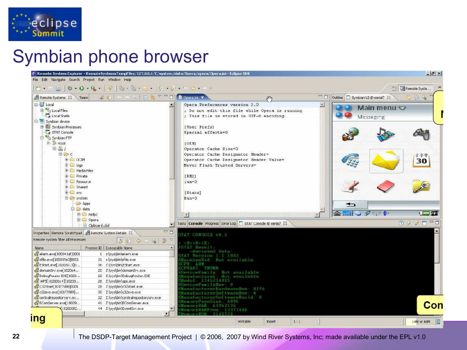

## Symbian phone browser



**22** The DSDP-Target Management Project | © 2006, 2007 by Wind River Systems, Inc; made available under the EPL v1.0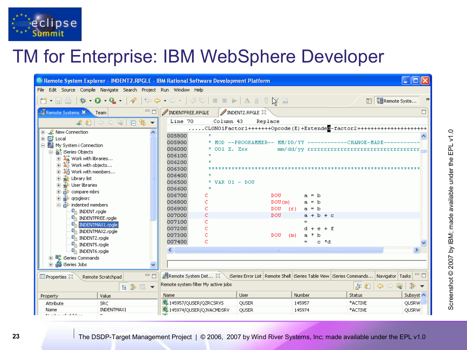

# TM for Enterprise: IBM WebSphere Developer

| <sup>©</sup> Remote System Explorer - INDENT2.RPGLE - IBM Rational Software Development Platform      |                                |                                                                                                |             |                |              |
|-------------------------------------------------------------------------------------------------------|--------------------------------|------------------------------------------------------------------------------------------------|-------------|----------------|--------------|
| File Edit Source Compile Navigate Search Project Run Window Help                                      |                                |                                                                                                |             |                |              |
| <b>5. 8 8 8 9 4 1 4 4 4 4 4 4 4 6 6 7 8 8 7</b> 8 9 7                                                 |                                |                                                                                                |             | E Remote Syste |              |
| $\Box$<br>Remote Systems X<br>Team                                                                    | INDENTFREE.RPGLE               | INDENT2, RPGLE 23                                                                              |             |                | $\Box$       |
| $\overline{\phantom{a}}$                                                                              | Line 70<br>Column 43           | Replace                                                                                        |             |                |              |
| 田…LLL <sup>2</sup> New Connection                                                                     |                                | CLONO1Factor1+++++++Opcode(E)+Extendee-factor2+++++++++++++++++++++++++++++                    |             |                |              |
| 中 <b>目</b> Local                                                                                      | 005800                         |                                                                                                |             |                |              |
| - ■ My System i Connection                                                                            | 005900                         | * MOD --PROGRAMMER-- MM/DD/YY -----------CHANGE-MADE--------                                   |             |                |              |
| 白 or and iSeries Objects                                                                              | 006000<br>* 001 X. Xxx         |                                                                                                |             |                |              |
| 由 2 Work with libraries                                                                               | 006100                         |                                                                                                |             |                |              |
| 由 Xi Work with objects                                                                                | 006200                         |                                                                                                |             |                |              |
| 由 26 Work with members                                                                                | 006300<br>006400               |                                                                                                |             |                |              |
| 由 2 Library list                                                                                      | 006500<br>* VAR $01 -$ DOU     |                                                                                                |             |                |              |
| मे <del>ं दे</del> ं User libraries                                                                   | 006600                         |                                                                                                |             |                |              |
| 白 ompare mbrs                                                                                         | 006700                         | DOU.                                                                                           | $a = b$     |                |              |
| 由 orpglesrc                                                                                           | 006800                         | DOU(m)                                                                                         | $a = b$     |                |              |
| indented members                                                                                      | 006900                         | $DOU$ $(r)$                                                                                    | $a = b$     |                |              |
| <sup>O</sup> n INDENT.rpgle                                                                           | 007000<br>C                    | DOU.                                                                                           | $a + b + c$ |                |              |
| <b>G</b> <sub>R</sub> INDENTFREE.rpgle<br><b>Ta INDENTMAX1.rpgle</b>                                  | 007100<br>c                    |                                                                                                |             |                |              |
| <b>O</b> n INDENTMAX2.rpgle                                                                           | 007200                         |                                                                                                | d + e + f   |                |              |
| <b>G</b> INDENT2.rpgle                                                                                | 007300                         | DOU<br>(m)                                                                                     | a * b       |                |              |
| <b>G</b> INDENTS.rpgle                                                                                | 007400<br>C                    |                                                                                                | e *d<br>$=$ |                |              |
| <b>G</b> INDENT6.rpgle                                                                                | ≺                              | $\blacksquare$                                                                                 |             |                | ≯            |
| "歐 iSeries Commands"<br>围                                                                             |                                |                                                                                                |             |                |              |
| 46 iSeries Jobs                                                                                       |                                |                                                                                                |             |                |              |
| 一日<br>$\blacksquare$ Properties $\boxtimes$<br>Remote Scratchpad                                      | Remote System Det 23           | iSeries Error List   Remote Shell   iSeries Table View   iSeries Commands…   Navigator   Tasks |             |                | 一日           |
| Remote system filter My active jobs<br>崇<br>$E \geq 0$<br>⇦<br>日常国▼<br>ھا<br>$\overline{\phantom{a}}$ |                                |                                                                                                |             |                |              |
| Value<br>Property                                                                                     | Name                           | User                                                                                           | Number      | Status         | Subsyst <    |
| Attribute<br>SRC.                                                                                     | <b>B</b> 145957/QUSER/QZRCSRVS | QUSER                                                                                          | 145957      | *ACTIVE        | <b>QUSRW</b> |
| INDENTMAX1<br>Name<br>$\mathbf{0}$ is a smaller set of $\mathbf{0}$ . The final set of<br>$\sim$      | 图 145974/QUSER/QJVACMDSRV      | QUSER                                                                                          | 145974      | *ACTIVE        | QUSRW        |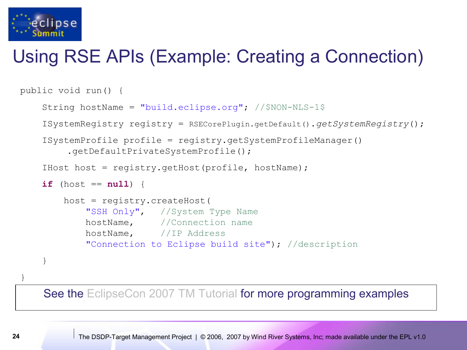

# Using RSE APIs (Example: Creating a Connection)

```
public void run() { 
 String hostName = "build.eclipse.org"; //$NON-NLS-1$
 ISystemRegistry registry = RSECorePlugin.getDefault().getSystemRegistry();
 ISystemProfile profile = registry.getSystemProfileManager()
     .getDefaultPrivateSystemProfile();
 IHost host = registry.getHost(profile, hostName);
if (host == null) {
     host = registry.createHost(
        "SSH Only", //System Type Name
         hostName, //Connection name
         hostName, //IP Address
         "Connection to Eclipse build site"); //description
 }
```
See the [EclipseCon 2007 TM Tutorial](http://www.eclipsecon.org/2007/index.php?page=sub/&id=3651) for more programming examples

**24** The DSDP-Target Management Project | © 2006, 2007 by Wind River Systems, Inc; made available under the EPL v1.0

}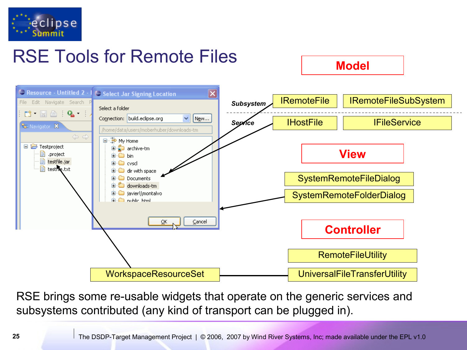

# RSE Tools for Remote Files **Model**



RSE brings some re-usable widgets that operate on the generic services and subsystems contributed (any kind of transport can be plugged in).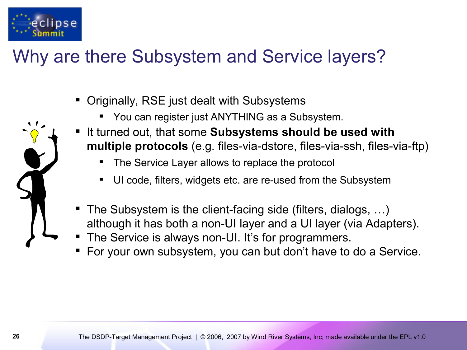

# Why are there Subsystem and Service layers?

- Originally, RSE just dealt with Subsystems
	- You can register just ANYTHING as a Subsystem.
- It turned out, that some **Subsystems should be used with multiple protocols** (e.g. files-via-dstore, files-via-ssh, files-via-ftp)
	- The Service Layer allows to replace the protocol
	- UI code, filters, widgets etc. are re-used from the Subsystem
- The Subsystem is the client-facing side (filters, dialogs, …) although it has both a non-UI layer and a UI layer (via Adapters).
- The Service is always non-UI. It's for programmers.
- For your own subsystem, you can but don't have to do a Service.

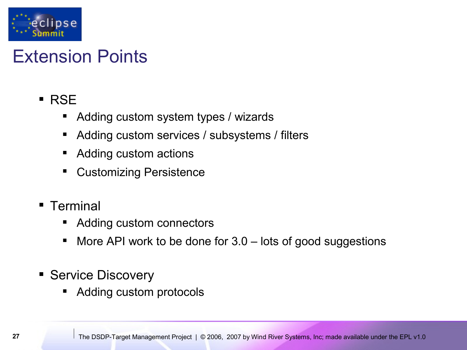

# Extension Points

- **RSE** 
	- Adding custom system types / wizards
	- Adding custom services / subsystems / filters
	- Adding custom actions
	- Customizing Persistence
- **Terminal** 
	- Adding custom connectors
	- More API work to be done for 3.0 lots of good suggestions
- **Service Discovery** 
	- Adding custom protocols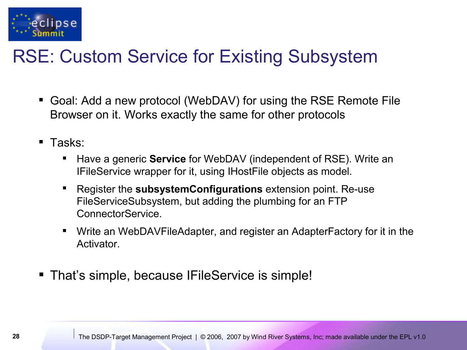

# RSE: Custom Service for Existing Subsystem

- Goal: Add a new protocol (WebDAV) for using the RSE Remote File Browser on it. Works exactly the same for other protocols
- Tasks:
	- Have a generic **Service** for WebDAV (independent of RSE). Write an IFileService wrapper for it, using IHostFile objects as model.
	- Register the **subsystemConfigurations** extension point. Re-use FileServiceSubsystem, but adding the plumbing for an FTP ConnectorService.
	- Write an WebDAVFileAdapter, and register an AdapterFactory for it in the Activator.
- **That's simple, because IFileService is simple!**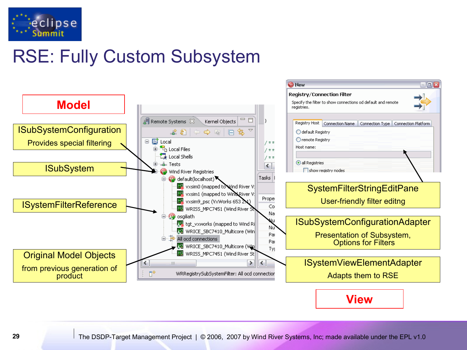

# RSE: Fully Custom Subsystem



**View**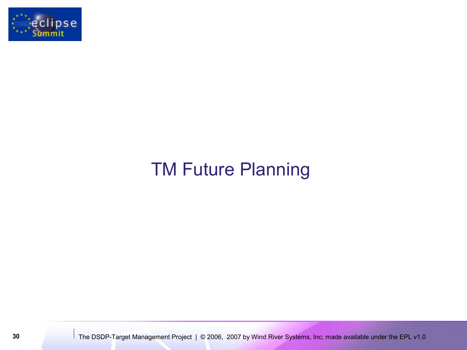

# TM Future Planning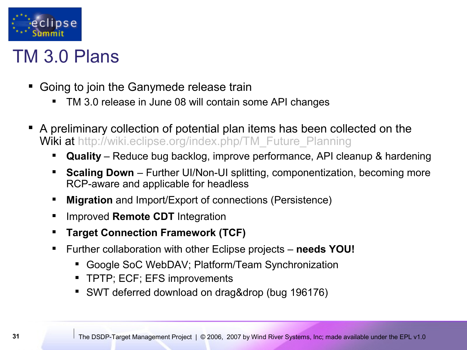

#### TM 3.0 Plans

- Going to join the Ganymede release train
	- TM 3.0 release in June 08 will contain some API changes
- A preliminary collection of potential plan items has been collected on the Wiki at [http://wiki.eclipse.org/index.php/TM\\_Future\\_Planning](https://bugs.eclipse.org/bugs/show_bug.cgi?id=196176)
	- **Quality** Reduce bug backlog, improve performance, API cleanup & hardening
	- **Scaling Down** Further UI/Non-UI splitting, componentization, becoming more RCP-aware and applicable for headless
	- **Migration** and Import/Export of connections (Persistence)
	- **If Improved Remote CDT Integration**
	- **Target Connection Framework (TCF)**
	- Further collaboration with other Eclipse projects **needs YOU!**
		- Google SoC WebDAV; Platform/Team Synchronization
		- TPTP; ECF; EFS improvements
		- SWT deferred download on drag&drop (bug 196176)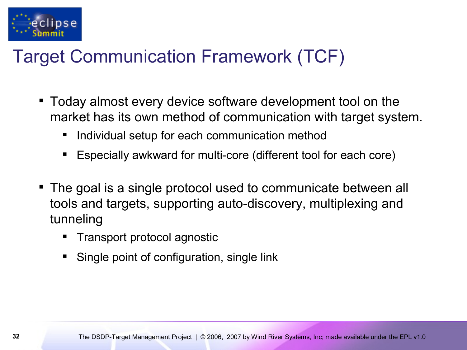

# Target Communication Framework (TCF)

- Today almost every device software development tool on the market has its own method of communication with target system.
	- Individual setup for each communication method
	- Especially awkward for multi-core (different tool for each core)
- The goal is a single protocol used to communicate between all tools and targets, supporting auto-discovery, multiplexing and tunneling
	- Transport protocol agnostic
	- Single point of configuration, single link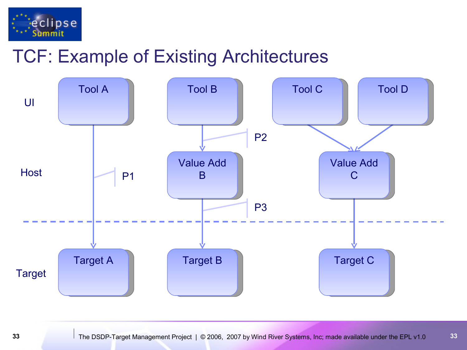

# TCF: Example of Existing Architectures

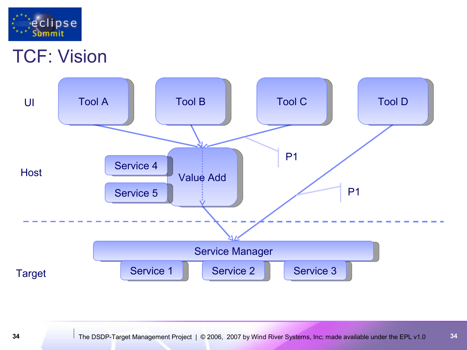

#### TCF: Vision

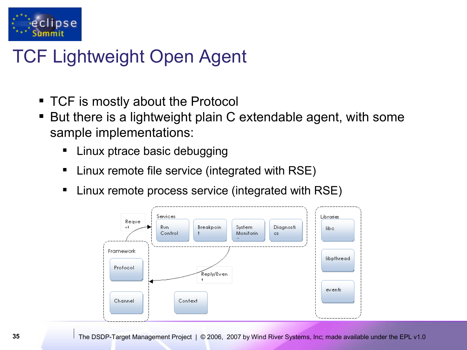

# TCF Lightweight Open Agent

- TCF is mostly about the Protocol
- But there is a lightweight plain C extendable agent, with some sample implementations:
	- Linux ptrace basic debugging
	- Linux remote file service (integrated with RSE)
	- Linux remote process service (integrated with RSE)

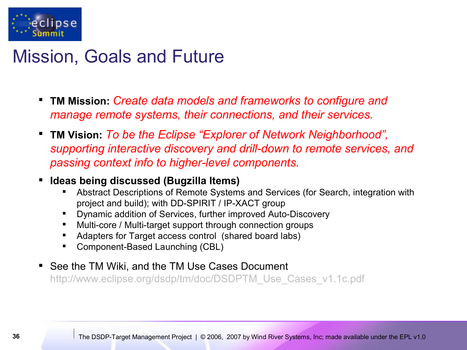

#### Mission, Goals and Future

- **TM Mission:** *Create data models and frameworks to configure and manage remote systems, their connections, and their services.*
- **TM Vision:** *To be the Eclipse "Explorer of Network Neighborhood", supporting interactive discovery and drill-down to remote services, and passing context info to higher-level components.*
- **Ideas being discussed (Bugzilla Items)**
	- Abstract Descriptions of Remote Systems and Services (for Search, integration with project and build); with DD-SPIRIT / IP-XACT group
	- Dynamic addition of Services, further improved Auto-Discovery
	- Multi-core / Multi-target support through connection groups
	- Adapters for Target access control (shared board labs)
	- **Component-Based Launching (CBL)**
- **See the TM Wiki, and the TM Use Cases Document** http://www.eclipse.org/dsdp/tm/doc/DSDPTM Use Cases v1.1c.pdf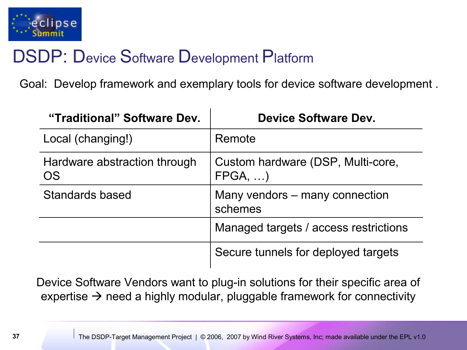

#### DSDP: Device Software Development Platform

Goal: Develop framework and exemplary tools for device software development .

| "Traditional" Software Dev.               | Device Software Dev.                                 |
|-------------------------------------------|------------------------------------------------------|
| Local (changing!)                         | Remote                                               |
| Hardware abstraction through<br><b>OS</b> | Custom hardware (DSP, Multi-core,<br>$FPGA, \ldots)$ |
| Standards based                           | Many vendors – many connection<br>schemes            |
|                                           | Managed targets / access restrictions                |
|                                           | Secure tunnels for deployed targets                  |

Device Software Vendors want to plug-in solutions for their specific area of expertise  $\rightarrow$  need a highly modular, pluggable framework for connectivity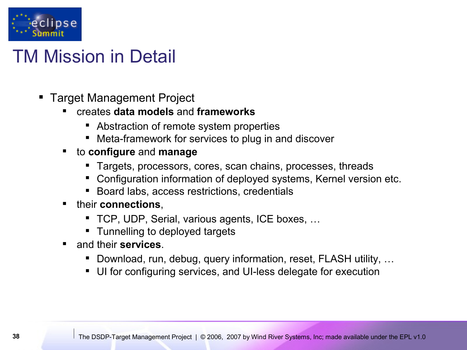

# TM Mission in Detail

- Target Management Project
	- creates **data models** and **frameworks**
		- Abstraction of remote system properties
		- Meta-framework for services to plug in and discover
	- to **configure** and **manage**
		- Targets, processors, cores, scan chains, processes, threads
		- Configuration information of deployed systems, Kernel version etc.
		- **Board labs, access restrictions, credentials**
	- **their connections.** 
		- TCP, UDP, Serial, various agents, ICE boxes, ...
		- **Tunnelling to deployed targets**
	- and their **services**.
		- Download, run, debug, query information, reset, FLASH utility, ...
		- UI for configuring services, and UI-less delegate for execution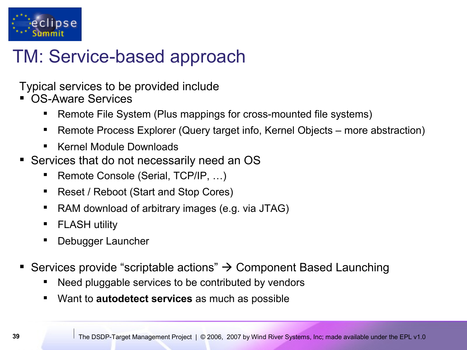

## TM: Service-based approach

Typical services to be provided include

- OS-Aware Services
	- Remote File System (Plus mappings for cross-mounted file systems)
	- Remote Process Explorer (Query target info, Kernel Objects more abstraction)
	- Kernel Module Downloads
- Services that do not necessarily need an OS
	- Remote Console (Serial, TCP/IP, …)
	- Reset / Reboot (Start and Stop Cores)
	- RAM download of arbitrary images (e.g. via JTAG)
	- **FLASH utility**
	- Debugger Launcher
- Services provide "scriptable actions"  $\rightarrow$  Component Based Launching
	- Need pluggable services to be contributed by vendors
	- Want to **autodetect services** as much as possible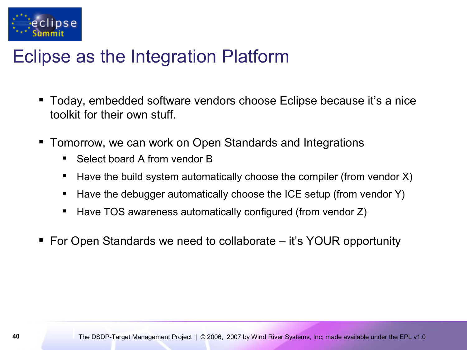

#### Eclipse as the Integration Platform

- Today, embedded software vendors choose Eclipse because it's a nice toolkit for their own stuff.
- Tomorrow, we can work on Open Standards and Integrations
	- Select board A from vendor B
	- $\blacksquare$  Have the build system automatically choose the compiler (from vendor X)
	- $\blacksquare$  Have the debugger automatically choose the ICE setup (from vendor Y)
	- Have TOS awareness automatically configured (from vendor Z)
- For Open Standards we need to collaborate it's YOUR opportunity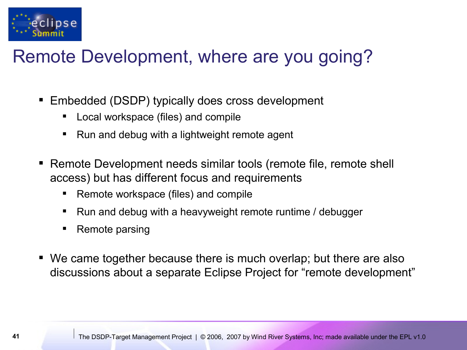

# Remote Development, where are you going?

- Embedded (DSDP) typically does cross development
	- Local workspace (files) and compile
	- Run and debug with a lightweight remote agent
- Remote Development needs similar tools (remote file, remote shell access) but has different focus and requirements
	- Remote workspace (files) and compile
	- Run and debug with a heavyweight remote runtime / debugger
	- Remote parsing
- We came together because there is much overlap; but there are also discussions about a separate Eclipse Project for "remote development"